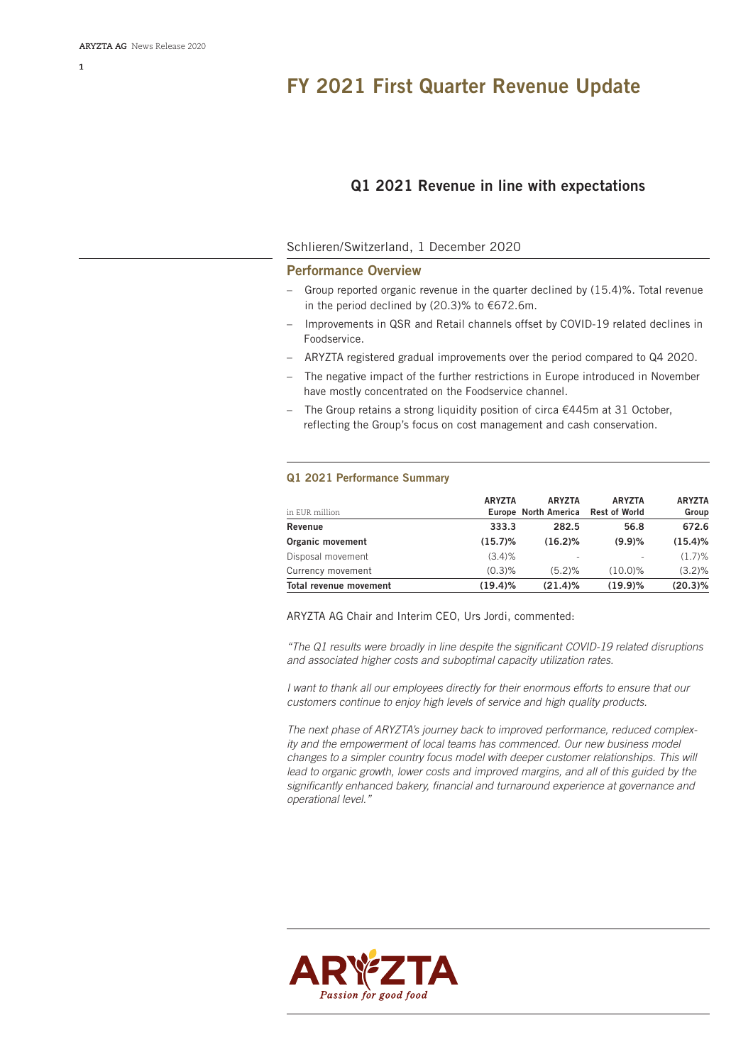# **FY 2021 First Quarter Revenue Update**

# **Q1 2021 Revenue in line with expectations**

# Schlieren/Switzerland, 1 December 2020

# **Performance Overview**

- Group reported organic revenue in the quarter declined by (15.4)%. Total revenue in the period declined by (20.3)% to €672.6m.
- Improvements in QSR and Retail channels offset by COVID-19 related declines in Foodservice.
- ARYZTA registered gradual improvements over the period compared to Q4 2020.
- The negative impact of the further restrictions in Europe introduced in November have mostly concentrated on the Foodservice channel.
- The Group retains a strong liquidity position of circa €445m at 31 October, reflecting the Group's focus on cost management and cash conservation.

## **Q1 2021 Performance Summary**

| in EUR million<br>Revenue     | <b>ARYZTA</b><br>333.3 | <b>ARYZTA</b><br>Europe North America Rest of World<br>282.5 | <b>ARYZTA</b><br>56.8 | <b>ARYZTA</b><br>Group<br>672.6 |
|-------------------------------|------------------------|--------------------------------------------------------------|-----------------------|---------------------------------|
|                               |                        |                                                              |                       |                                 |
| Disposal movement             | $(3.4)$ %              |                                                              |                       | $(1.7)\%$                       |
| Currency movement             | $(0.3)$ %              | (5.2)%                                                       | $(10.0)\%$            | $(3.2)\%$                       |
| <b>Total revenue movement</b> | $(19.4)\%$             | (21.4)%                                                      | (19.9)%               | $(20.3)\%$                      |

ARYZTA AG Chair and Interim CEO, Urs Jordi, commented:

*"The Q1 results were broadly in line despite the significant COVID-19 related disruptions and associated higher costs and suboptimal capacity utilization rates.* 

*I want to thank all our employees directly for their enormous efforts to ensure that our customers continue to enjoy high levels of service and high quality products.* 

*The next phase of ARYZTA's journey back to improved performance, reduced complexity and the empowerment of local teams has commenced. Our new business model changes to a simpler country focus model with deeper customer relationships. This will*  lead to organic growth, lower costs and improved margins, and all of this guided by the *significantly enhanced bakery, financial and turnaround experience at governance and operational level."*

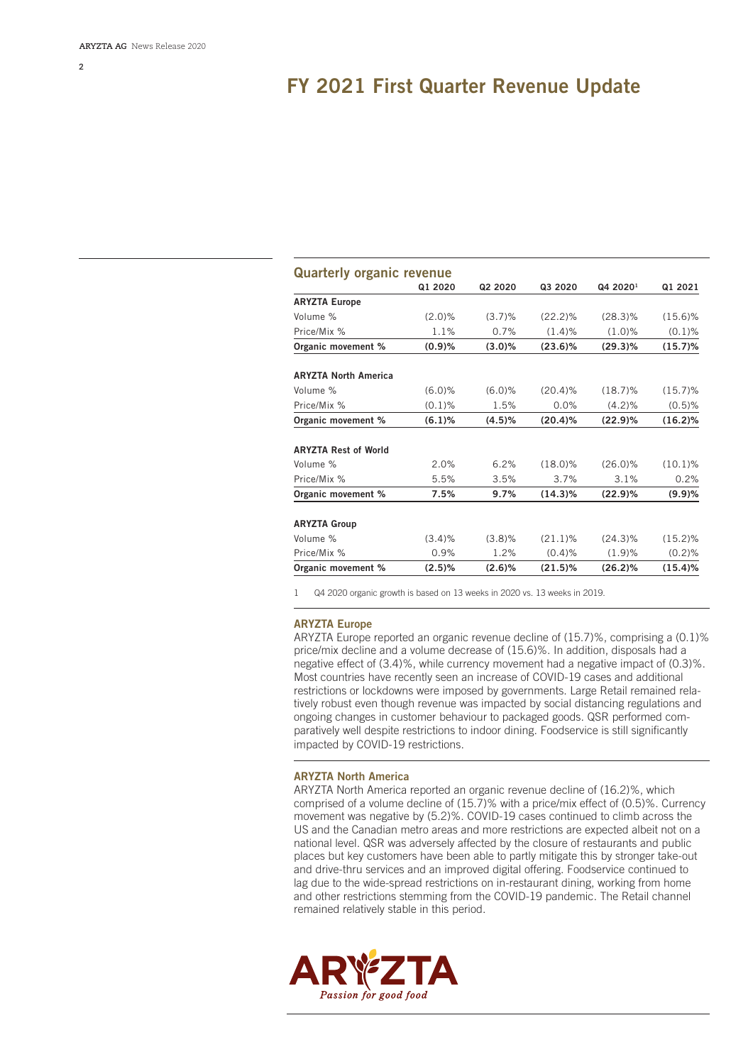# **FY 2021 First Quarter Revenue Update**

| <b>Quarterly organic revenue</b> |           |           |            |                      |            |  |  |
|----------------------------------|-----------|-----------|------------|----------------------|------------|--|--|
|                                  | Q1 2020   | Q2 2020   | Q3 2020    | Q4 2020 <sup>1</sup> | Q1 2021    |  |  |
| <b>ARYZTA Europe</b>             |           |           |            |                      |            |  |  |
| Volume %                         | $(2.0)\%$ | $(3.7)\%$ | $(22.2)\%$ | $(28.3)\%$           | $(15.6)\%$ |  |  |
| Price/Mix %                      | 1.1%      | 0.7%      | (1.4)%     | $(1.0)$ %            | $(0.1)\%$  |  |  |
| Organic movement %               | (0.9)%    | (3.0)%    | $(23.6)\%$ | $(29.3)\%$           | (15.7)%    |  |  |
| <b>ARYZTA North America</b>      |           |           |            |                      |            |  |  |
| Volume %                         | $(6.0)$ % | (6.0)%    | $(20.4)\%$ | $(18.7)\%$           | $(15.7)\%$ |  |  |
| Price/Mix %                      | $(0.1)$ % | 1.5%      | 0.0%       | $(4.2)\%$            | $(0.5)$ %  |  |  |
| Organic movement %               | (6.1)%    | (4.5)%    | $(20.4)\%$ | (22.9)%              | $(16.2)\%$ |  |  |
| <b>ARYZTA Rest of World</b>      |           |           |            |                      |            |  |  |
| Volume %                         | 2.0%      | 6.2%      | $(18.0)\%$ | $(26.0)\%$           | $(10.1)\%$ |  |  |
| Price/Mix %                      | 5.5%      | 3.5%      | 3.7%       | 3.1%                 | 0.2%       |  |  |
| Organic movement %               | 7.5%      | 9.7%      | $(14.3)\%$ | (22.9)%              | (9.9)%     |  |  |
| <b>ARYZTA Group</b>              |           |           |            |                      |            |  |  |
| Volume %                         | (3.4)%    | $(3.8)\%$ | $(21.1)\%$ | $(24.3)\%$           | $(15.2)\%$ |  |  |
| Price/Mix %                      | 0.9%      | 1.2%      | $(0.4)$ %  | (1.9)%               | (0.2)%     |  |  |
| Organic movement %               | (2.5)%    | (2.6)%    | $(21.5)\%$ | (26.2)%              | (15.4)%    |  |  |

1 Q4 2020 organic growth is based on 13 weeks in 2020 vs. 13 weeks in 2019.

#### **ARYZTA Europe**

ARYZTA Europe reported an organic revenue decline of (15.7)%, comprising a (0.1)% price/mix decline and a volume decrease of (15.6)%. In addition, disposals had a negative effect of (3.4)%, while currency movement had a negative impact of (0.3)%. Most countries have recently seen an increase of COVID-19 cases and additional restrictions or lockdowns were imposed by governments. Large Retail remained relatively robust even though revenue was impacted by social distancing regulations and ongoing changes in customer behaviour to packaged goods. QSR performed comparatively well despite restrictions to indoor dining. Foodservice is still significantly impacted by COVID-19 restrictions.

### **ARYZTA North America**

ARYZTA North America reported an organic revenue decline of (16.2)%, which comprised of a volume decline of (15.7)% with a price/mix effect of (0.5)%. Currency movement was negative by (5.2)%. COVID-19 cases continued to climb across the US and the Canadian metro areas and more restrictions are expected albeit not on a national level. QSR was adversely affected by the closure of restaurants and public places but key customers have been able to partly mitigate this by stronger take-out and drive-thru services and an improved digital offering. Foodservice continued to lag due to the wide-spread restrictions on in-restaurant dining, working from home and other restrictions stemming from the COVID-19 pandemic. The Retail channel remained relatively stable in this period.

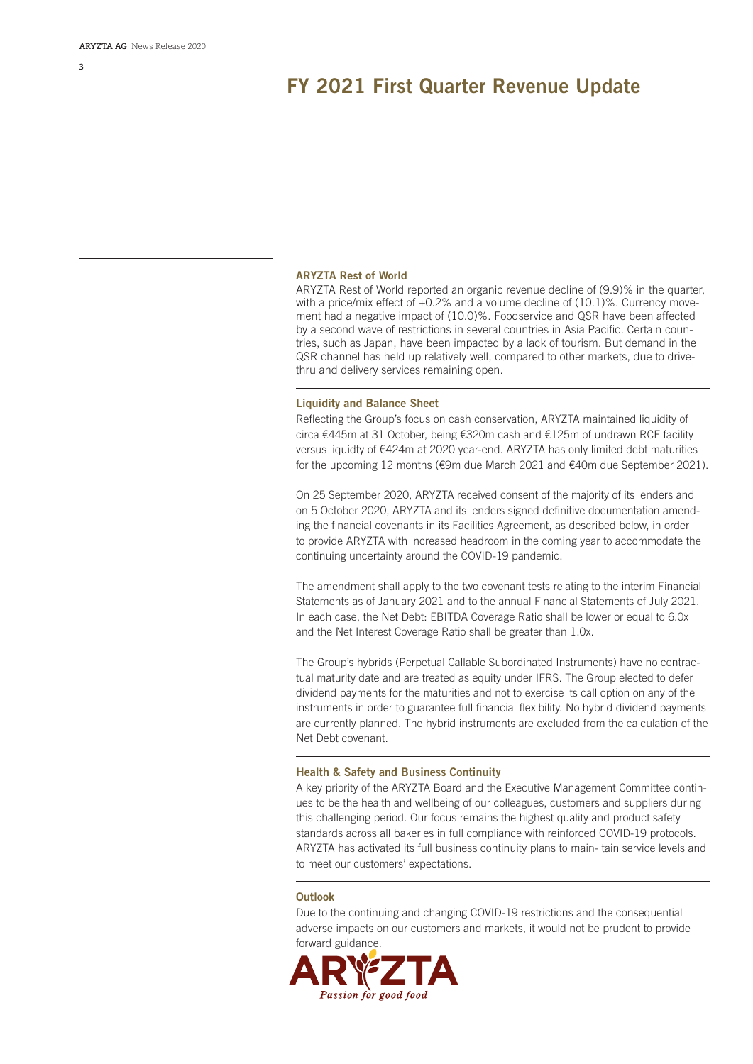**3**

# **FY 2021 First Quarter Revenue Update**

#### **ARYZTA Rest of World**

ARYZTA Rest of World reported an organic revenue decline of (9.9)% in the quarter, with a price/mix effect of +0.2% and a volume decline of (10.1)%. Currency movement had a negative impact of (10.0)%. Foodservice and QSR have been affected by a second wave of restrictions in several countries in Asia Pacific. Certain countries, such as Japan, have been impacted by a lack of tourism. But demand in the QSR channel has held up relatively well, compared to other markets, due to drivethru and delivery services remaining open.

#### **Liquidity and Balance Sheet**

Reflecting the Group's focus on cash conservation, ARYZTA maintained liquidity of circa €445m at 31 October, being €320m cash and €125m of undrawn RCF facility versus liquidty of €424m at 2020 year-end. ARYZTA has only limited debt maturities for the upcoming 12 months (€9m due March 2021 and €40m due September 2021).

On 25 September 2020, ARYZTA received consent of the majority of its lenders and on 5 October 2020, ARYZTA and its lenders signed definitive documentation amending the financial covenants in its Facilities Agreement, as described below, in order to provide ARYZTA with increased headroom in the coming year to accommodate the continuing uncertainty around the COVID-19 pandemic.

The amendment shall apply to the two covenant tests relating to the interim Financial Statements as of January 2021 and to the annual Financial Statements of July 2021. In each case, the Net Debt: EBITDA Coverage Ratio shall be lower or equal to 6.0x and the Net Interest Coverage Ratio shall be greater than 1.0x.

The Group's hybrids (Perpetual Callable Subordinated Instruments) have no contractual maturity date and are treated as equity under IFRS. The Group elected to defer dividend payments for the maturities and not to exercise its call option on any of the instruments in order to guarantee full financial flexibility. No hybrid dividend payments are currently planned. The hybrid instruments are excluded from the calculation of the Net Debt covenant.

#### **Health & Safety and Business Continuity**

A key priority of the ARYZTA Board and the Executive Management Committee continues to be the health and wellbeing of our colleagues, customers and suppliers during this challenging period. Our focus remains the highest quality and product safety standards across all bakeries in full compliance with reinforced COVID-19 protocols. ARYZTA has activated its full business continuity plans to main- tain service levels and to meet our customers' expectations.

## **Outlook**

Due to the continuing and changing COVID-19 restrictions and the consequential adverse impacts on our customers and markets, it would not be prudent to provide forward guidance.